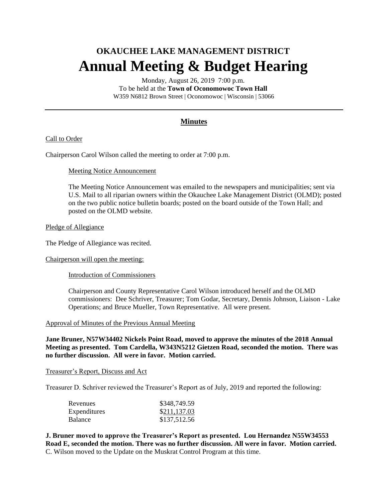# **OKAUCHEE LAKE MANAGEMENT DISTRICT Annual Meeting & Budget Hearing**

Monday, August 26, 2019 7:00 p.m. To be held at the **Town of Oconomowoc Town Hall** W359 N6812 Brown Street | Oconomowoc | Wisconsin | 53066

## **Minutes**

## Call to Order

Chairperson Carol Wilson called the meeting to order at 7:00 p.m.

#### Meeting Notice Announcement

The Meeting Notice Announcement was emailed to the newspapers and municipalities; sent via U.S. Mail to all riparian owners within the Okauchee Lake Management District (OLMD); posted on the two public notice bulletin boards; posted on the board outside of the Town Hall; and posted on the OLMD website.

#### Pledge of Allegiance

The Pledge of Allegiance was recited.

#### Chairperson will open the meeting:

Introduction of Commissioners

Chairperson and County Representative Carol Wilson introduced herself and the OLMD commissioners: Dee Schriver, Treasurer; Tom Godar, Secretary, Dennis Johnson, Liaison - Lake Operations; and Bruce Mueller, Town Representative. All were present.

#### Approval of Minutes of the Previous Annual Meeting

**Jane Bruner, N57W34402 Nickels Point Road, moved to approve the minutes of the 2018 Annual Meeting as presented. Tom Cardella, W343N5212 Gietzen Road, seconded the motion. There was no further discussion. All were in favor. Motion carried.**

#### Treasurer's Report, Discuss and Act

Treasurer D. Schriver reviewed the Treasurer's Report as of July, 2019 and reported the following:

| Revenues       | \$348,749.59 |
|----------------|--------------|
| Expenditures   | \$211,137.03 |
| <b>Balance</b> | \$137,512.56 |

**J. Bruner moved to approve the Treasurer's Report as presented. Lou Hernandez N55W34553 Road E, seconded the motion. There was no further discussion. All were in favor. Motion carried.** C. Wilson moved to the Update on the Muskrat Control Program at this time.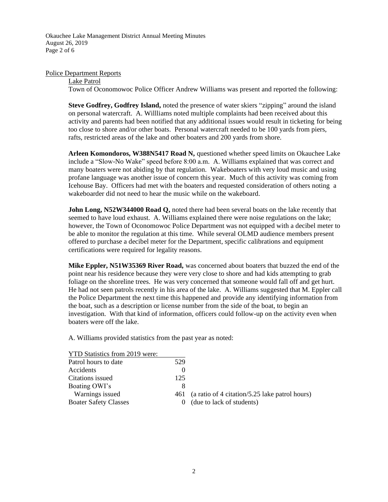Okauchee Lake Management District Annual Meeting Minutes August 26, 2019 Page 2 of 6

#### Police Department Reports

Lake Patrol

Town of Oconomowoc Police Officer Andrew Williams was present and reported the following:

**Steve Godfrey, Godfrey Island,** noted the presence of water skiers "zipping" around the island on personal watercraft. A. Willliams noted multiple complaints had been received about this activity and parents had been notified that any additional issues would result in ticketing for being too close to shore and/or other boats. Personal watercraft needed to be 100 yards from piers, rafts, restricted areas of the lake and other boaters and 200 yards from shore.

**Arleen Komondoros, W388N5417 Road N,** questioned whether speed limits on Okauchee Lake include a "Slow-No Wake" speed before 8:00 a.m. A. Williams explained that was correct and many boaters were not abiding by that regulation. Wakeboaters with very loud music and using profane language was another issue of concern this year. Much of this activity was coming from Icehouse Bay. Officers had met with the boaters and requested consideration of others noting a wakeboarder did not need to hear the music while on the wakeboard.

**John Long, N52W344000 Road Q,** noted there had been several boats on the lake recently that seemed to have loud exhaust. A. Williams explained there were noise regulations on the lake; however, the Town of Oconomowoc Police Department was not equipped with a decibel meter to be able to monitor the regulation at this time. While several OLMD audience members present offered to purchase a decibel meter for the Department, specific calibrations and equipment certifications were required for legality reasons.

**Mike Eppler, N51W35369 River Road,** was concerned about boaters that buzzed the end of the point near his residence because they were very close to shore and had kids attempting to grab foliage on the shoreline trees. He was very concerned that someone would fall off and get hurt. He had not seen patrols recently in his area of the lake. A. Williams suggested that M. Eppler call the Police Department the next time this happened and provide any identifying information from the boat, such as a description or license number from the side of the boat, to begin an investigation. With that kind of information, officers could follow-up on the activity even when boaters were off the lake.

A. Williams provided statistics from the past year as noted:

| YTD Statistics from 2019 were: |     |                                                |
|--------------------------------|-----|------------------------------------------------|
| Patrol hours to date           | 529 |                                                |
| Accidents                      |     |                                                |
| Citations issued               | 125 |                                                |
| Boating OWI's                  | 8   |                                                |
| Warnings issued                | 461 | (a ratio of 4 citation/5.25 lake patrol hours) |
| <b>Boater Safety Classes</b>   |     | (due to lack of students)                      |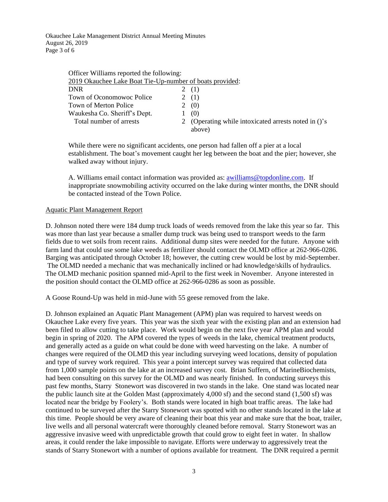Okauchee Lake Management District Annual Meeting Minutes August 26, 2019 Page 3 of 6

| Officer Williams reported the following:                 |                                                              |
|----------------------------------------------------------|--------------------------------------------------------------|
| 2019 Okauchee Lake Boat Tie-Up-number of boats provided: |                                                              |
| <b>DNR</b>                                               | 2(1)                                                         |
| Town of Oconomowoc Police                                | (1)                                                          |
| Town of Merton Police                                    | (0)                                                          |
| Waukesha Co. Sheriff's Dept.                             | (0)                                                          |
| Total number of arrests                                  | (Operating while intoxicated arrests noted in ()'s<br>above) |

While there were no significant accidents, one person had fallen off a pier at a local establishment. The boat's movement caught her leg between the boat and the pier; however, she walked away without injury.

A. Williams email contact information was provided as: **awilliams@topdonline.com**. If inappropriate snowmobiling activity occurred on the lake during winter months, the DNR should be contacted instead of the Town Police.

#### Aquatic Plant Management Report

D. Johnson noted there were 184 dump truck loads of weeds removed from the lake this year so far. This was more than last year because a smaller dump truck was being used to transport weeds to the farm fields due to wet soils from recent rains. Additional dump sites were needed for the future. Anyone with farm land that could use some lake weeds as fertilizer should contact the OLMD office at 262-966-0286. Barging was anticipated through October 18; however, the cutting crew would be lost by mid-September. The OLMD needed a mechanic that was mechanically inclined or had knowledge/skills of hydraulics. The OLMD mechanic position spanned mid-April to the first week in November. Anyone interested in the position should contact the OLMD office at 262-966-0286 as soon as possible.

A Goose Round-Up was held in mid-June with 55 geese removed from the lake.

D. Johnson explained an Aquatic Plant Management (APM) plan was required to harvest weeds on Okauchee Lake every five years. This year was the sixth year with the existing plan and an extension had been filed to allow cutting to take place. Work would begin on the next five year APM plan and would begin in spring of 2020. The APM covered the types of weeds in the lake, chemical treatment products, and generally acted as a guide on what could be done with weed harvesting on the lake. A number of changes were required of the OLMD this year including surveying weed locations, density of population and type of survey work required. This year a point intercept survey was required that collected data from 1,000 sample points on the lake at an increased survey cost. Brian Suffern, of MarineBiochemists, had been consulting on this survey for the OLMD and was nearly finished. In conducting surveys this past few months, Starry Stonewort was discovered in two stands in the lake. One stand was located near the public launch site at the Golden Mast (approximately 4,000 sf) and the second stand (1,500 sf) was located near the bridge by Foolery's. Both stands were located in high boat traffic areas. The lake had continued to be surveyed after the Starry Stonewort was spotted with no other stands located in the lake at this time. People should be very aware of cleaning their boat this year and make sure that the boat, trailer, live wells and all personal watercraft were thoroughly cleaned before removal. Starry Stonewort was an aggressive invasive weed with unpredictable growth that could grow to eight feet in water. In shallow areas, it could render the lake impossible to navigate. Efforts were underway to aggressively treat the stands of Starry Stonewort with a number of options available for treatment. The DNR required a permit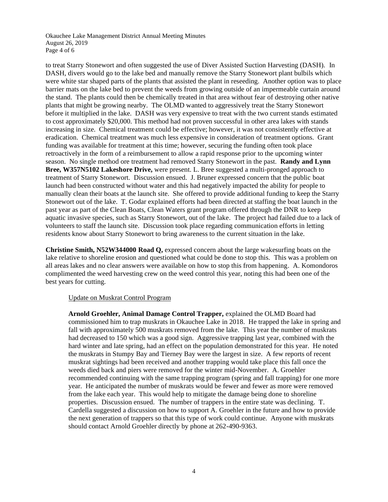Okauchee Lake Management District Annual Meeting Minutes August 26, 2019 Page 4 of 6

to treat Starry Stonewort and often suggested the use of Diver Assisted Suction Harvesting (DASH). In DASH, divers would go to the lake bed and manually remove the Starry Stonewort plant bulbils which were white star shaped parts of the plants that assisted the plant in reseeding. Another option was to place barrier mats on the lake bed to prevent the weeds from growing outside of an impermeable curtain around the stand. The plants could then be chemically treated in that area without fear of destroying other native plants that might be growing nearby. The OLMD wanted to aggressively treat the Starry Stonewort before it multiplied in the lake. DASH was very expensive to treat with the two current stands estimated to cost approximately \$20,000. This method had not proven successful in other area lakes with stands increasing in size. Chemical treatment could be effective; however, it was not consistently effective at eradication. Chemical treatment was much less expensive in consideration of treatment options. Grant funding was available for treatment at this time; however, securing the funding often took place retroactively in the form of a reimbursement to allow a rapid response prior to the upcoming winter season. No single method ore treatment had removed Starry Stonewort in the past. **Randy and Lynn Bree, W357N5102 Lakeshore Drive,** were present. L. Bree suggested a multi-pronged approach to treatment of Starry Stonewort. Discussion ensued. J. Bruner expressed concern that the public boat launch had been constructed without water and this had negatively impacted the ability for people to manually clean their boats at the launch site. She offered to provide additional funding to keep the Starry Stonewort out of the lake. T. Godar explained efforts had been directed at staffing the boat launch in the past year as part of the Clean Boats, Clean Waters grant program offered through the DNR to keep aquatic invasive species, such as Starry Stonewort, out of the lake. The project had failed due to a lack of volunteers to staff the launch site. Discussion took place regarding communication efforts in letting residents know about Starry Stonewort to bring awareness to the current situation in the lake.

**Christine Smith, N52W344000 Road Q,** expressed concern about the large wakesurfing boats on the lake relative to shoreline erosion and questioned what could be done to stop this. This was a problem on all areas lakes and no clear answers were available on how to stop this from happening. A. Komondoros complimented the weed harvesting crew on the weed control this year, noting this had been one of the best years for cutting.

## Update on Muskrat Control Program

**Arnold Groehler, Animal Damage Control Trapper,** explained the OLMD Board had commissioned him to trap muskrats in Okauchee Lake in 2018. He trapped the lake in spring and fall with approximately 500 muskrats removed from the lake. This year the number of muskrats had decreased to 150 which was a good sign. Aggressive trapping last year, combined with the hard winter and late spring, had an effect on the population demonstrated for this year. He noted the muskrats in Stumpy Bay and Tierney Bay were the largest in size. A few reports of recent muskrat sightings had been received and another trapping would take place this fall once the weeds died back and piers were removed for the winter mid-November. A. Groehler recommended continuing with the same trapping program (spring and fall trapping) for one more year. He anticipated the number of muskrats would be fewer and fewer as more were removed from the lake each year. This would help to mitigate the damage being done to shoreline properties. Discussion ensued. The number of trappers in the entire state was declining. T. Cardella suggested a discussion on how to support A. Groehler in the future and how to provide the next generation of trappers so that this type of work could continue. Anyone with muskrats should contact Arnold Groehler directly by phone at 262-490-9363.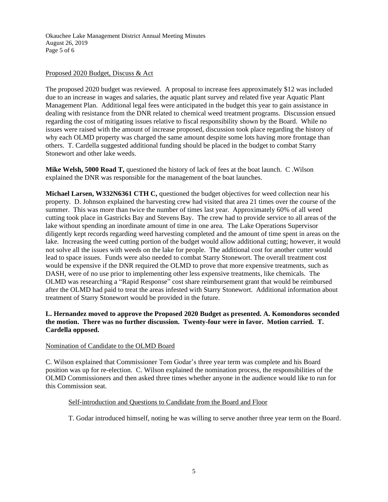Okauchee Lake Management District Annual Meeting Minutes August 26, 2019 Page 5 of 6

## Proposed 2020 Budget, Discuss & Act

The proposed 2020 budget was reviewed. A proposal to increase fees approximately \$12 was included due to an increase in wages and salaries, the aquatic plant survey and related five year Aquatic Plant Management Plan. Additional legal fees were anticipated in the budget this year to gain assistance in dealing with resistance from the DNR related to chemical weed treatment programs. Discussion ensued regarding the cost of mitigating issues relative to fiscal responsibility shown by the Board. While no issues were raised with the amount of increase proposed, discussion took place regarding the history of why each OLMD property was charged the same amount despite some lots having more frontage than others. T. Cardella suggested additional funding should be placed in the budget to combat Starry Stonewort and other lake weeds.

**Mike Welsh, 5000 Road T,** questioned the history of lack of fees at the boat launch. C .Wilson explained the DNR was responsible for the management of the boat launches.

**Michael Larsen, W332N6361 CTH C,** questioned the budget objectives for weed collection near his property. D. Johnson explained the harvesting crew had visited that area 21 times over the course of the summer. This was more than twice the number of times last year. Approximately 60% of all weed cutting took place in Gastricks Bay and Stevens Bay. The crew had to provide service to all areas of the lake without spending an inordinate amount of time in one area. The Lake Operations Supervisor diligently kept records regarding weed harvesting completed and the amount of time spent in areas on the lake. Increasing the weed cutting portion of the budget would allow additional cutting; however, it would not solve all the issues with weeds on the lake for people. The additional cost for another cutter would lead to space issues. Funds were also needed to combat Starry Stonewort. The overall treatment cost would be expensive if the DNR required the OLMD to prove that more expensive treatments, such as DASH, were of no use prior to implementing other less expensive treatments, like chemicals. The OLMD was researching a "Rapid Response" cost share reimbursement grant that would be reimbursed after the OLMD had paid to treat the areas infested with Starry Stonewort. Additional information about treatment of Starry Stonewort would be provided in the future.

## **L. Hernandez moved to approve the Proposed 2020 Budget as presented. A. Komondoros seconded the motion. There was no further discussion. Twenty-four were in favor. Motion carried. T. Cardella opposed.**

## Nomination of Candidate to the OLMD Board

C. Wilson explained that Commissioner Tom Godar's three year term was complete and his Board position was up for re-election. C. Wilson explained the nomination process, the responsibilities of the OLMD Commissioners and then asked three times whether anyone in the audience would like to run for this Commission seat.

## Self-introduction and Questions to Candidate from the Board and Floor

T. Godar introduced himself, noting he was willing to serve another three year term on the Board.